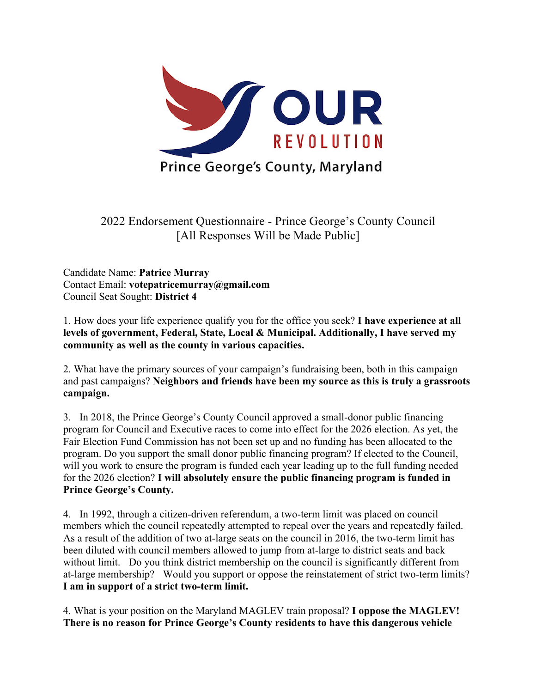

2022 Endorsement Questionnaire - Prince George's County Council [All Responses Will be Made Public]

Candidate Name: **Patrice Murray** Contact Email: **votepatricemurray@gmail.com** Council Seat Sought: **District 4**

1. How does your life experience qualify you for the office you seek? **I have experience at all levels of government, Federal, State, Local & Municipal. Additionally, I have served my community as well as the county in various capacities.** 

2. What have the primary sources of your campaign's fundraising been, both in this campaign and past campaigns? **Neighbors and friends have been my source as this is truly a grassroots campaign.**

3. In 2018, the Prince George's County Council approved a small-donor public financing program for Council and Executive races to come into effect for the 2026 election. As yet, the Fair Election Fund Commission has not been set up and no funding has been allocated to the program. Do you support the small donor public financing program? If elected to the Council, will you work to ensure the program is funded each year leading up to the full funding needed for the 2026 election? **I will absolutely ensure the public financing program is funded in Prince George's County.** 

4. In 1992, through a citizen-driven referendum, a two-term limit was placed on council members which the council repeatedly attempted to repeal over the years and repeatedly failed. As a result of the addition of two at-large seats on the council in 2016, the two-term limit has been diluted with council members allowed to jump from at-large to district seats and back without limit. Do you think district membership on the council is significantly different from at-large membership? Would you support or oppose the reinstatement of strict two-term limits? **I am in support of a strict two-term limit.**

4. What is your position on the Maryland MAGLEV train proposal? **I oppose the MAGLEV! There is no reason for Prince George's County residents to have this dangerous vehicle**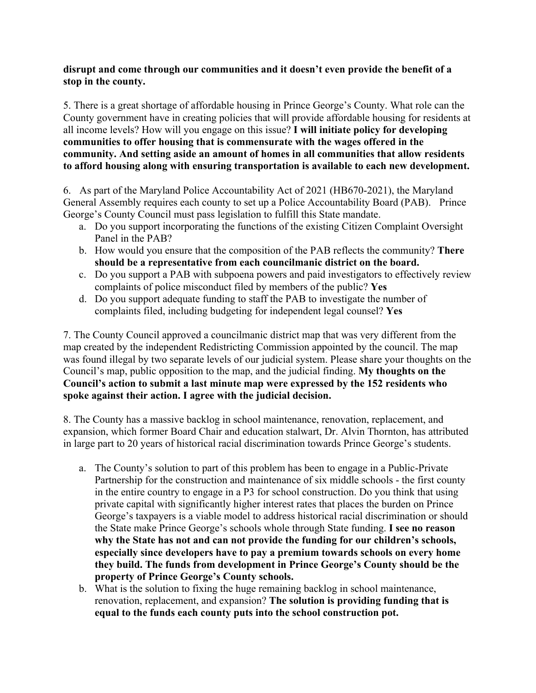## **disrupt and come through our communities and it doesn't even provide the benefit of a stop in the county.**

5. There is a great shortage of affordable housing in Prince George's County. What role can the County government have in creating policies that will provide affordable housing for residents at all income levels? How will you engage on this issue? **I will initiate policy for developing communities to offer housing that is commensurate with the wages offered in the community. And setting aside an amount of homes in all communities that allow residents to afford housing along with ensuring transportation is available to each new development.**

6. As part of the Maryland Police Accountability Act of 2021 (HB670-2021), the Maryland General Assembly requires each county to set up a Police Accountability Board (PAB). Prince George's County Council must pass legislation to fulfill this State mandate.

- a. Do you support incorporating the functions of the existing Citizen Complaint Oversight Panel in the PAB?
- b. How would you ensure that the composition of the PAB reflects the community? **There should be a representative from each councilmanic district on the board.**
- c. Do you support a PAB with subpoena powers and paid investigators to effectively review complaints of police misconduct filed by members of the public? **Yes**
- d. Do you support adequate funding to staff the PAB to investigate the number of complaints filed, including budgeting for independent legal counsel? **Yes**

7. The County Council approved a councilmanic district map that was very different from the map created by the independent Redistricting Commission appointed by the council. The map was found illegal by two separate levels of our judicial system. Please share your thoughts on the Council's map, public opposition to the map, and the judicial finding. **My thoughts on the Council's action to submit a last minute map were expressed by the 152 residents who spoke against their action. I agree with the judicial decision.** 

8. The County has a massive backlog in school maintenance, renovation, replacement, and expansion, which former Board Chair and education stalwart, Dr. Alvin Thornton, has attributed in large part to 20 years of historical racial discrimination towards Prince George's students.

- a. The County's solution to part of this problem has been to engage in a Public-Private Partnership for the construction and maintenance of six middle schools - the first county in the entire country to engage in a P3 for school construction. Do you think that using private capital with significantly higher interest rates that places the burden on Prince George's taxpayers is a viable model to address historical racial discrimination or should the State make Prince George's schools whole through State funding. **I see no reason why the State has not and can not provide the funding for our children's schools, especially since developers have to pay a premium towards schools on every home they build. The funds from development in Prince George's County should be the property of Prince George's County schools.**
- b. What is the solution to fixing the huge remaining backlog in school maintenance, renovation, replacement, and expansion? **The solution is providing funding that is equal to the funds each county puts into the school construction pot.**